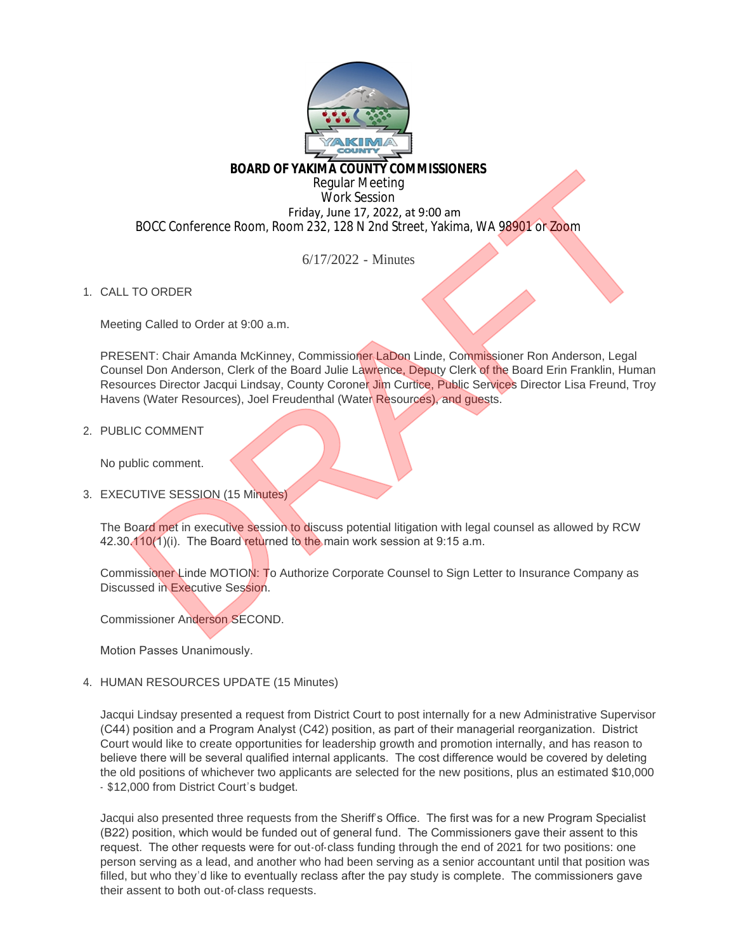

## **BOARD OF YAKIMA COUNTY COMMISSIONERS**

Regular Meeting Work Session Friday, June 17, 2022, at 9:00 am BOCC Conference Room, Room 232, 128 N 2nd Street, Yakima, WA 98901 or Zoom

6/17/2022 - Minutes

1. CALL TO ORDER

Meeting Called to Order at 9:00 a.m.

PRESENT: Chair Amanda McKinney, Commissioner LaDon Linde, Commissioner Ron Anderson, Legal Counsel Don Anderson, Clerk of the Board Julie Lawrence, Deputy Clerk of the Board Erin Franklin, Human Resources Director Jacqui Lindsay, County Coroner Jim Curtice, Public Services Director Lisa Freund, Troy Havens (Water Resources), Joel Freudenthal (Water Resources), and guests. BOARD OF YAKIMA COUNTY COMMISSIONERS<br>
Work Session<br>
Work Session<br>
Work Session<br>
Friday, June 17, 2022, at 9:00 am<br>
BOCC Conference Room, Room 232, 128 N 2nd Street, Yakima, WA 98901 or Zoom<br>
6/17/2022 - Minutes<br>
TO ORDER<br>

2. PUBLIC COMMENT

No public comment.

3. EXECUTIVE SESSION (15 Minutes)

The Board met in executive session to discuss potential litigation with legal counsel as allowed by RCW 42.30.110(1)(i). The Board returned to the main work session at 9:15 a.m.

Commissioner Linde MOTION: To Authorize Corporate Counsel to Sign Letter to Insurance Company as Discussed in Executive Session.

Commissioner Anderson SECOND.

Motion Passes Unanimously.

4. HUMAN RESOURCES UPDATE (15 Minutes)

Jacqui Lindsay presented a request from District Court to post internally for a new Administrative Supervisor (C44) position and a Program Analyst (C42) position, as part of their managerial reorganization. District Court would like to create opportunities for leadership growth and promotion internally, and has reason to believe there will be several qualified internal applicants. The cost difference would be covered by deleting the old positions of whichever two applicants are selected for the new positions, plus an estimated \$10,000 - \$12,000 from District Court's budget.

Jacqui also presented three requests from the Sheriff's Office. The first was for a new Program Specialist (B22) position, which would be funded out of general fund. The Commissioners gave their assent to this request. The other requests were for out-of-class funding through the end of 2021 for two positions: one person serving as a lead, and another who had been serving as a senior accountant until that position was filled, but who they'd like to eventually reclass after the pay study is complete. The commissioners gave their assent to both out-of-class requests.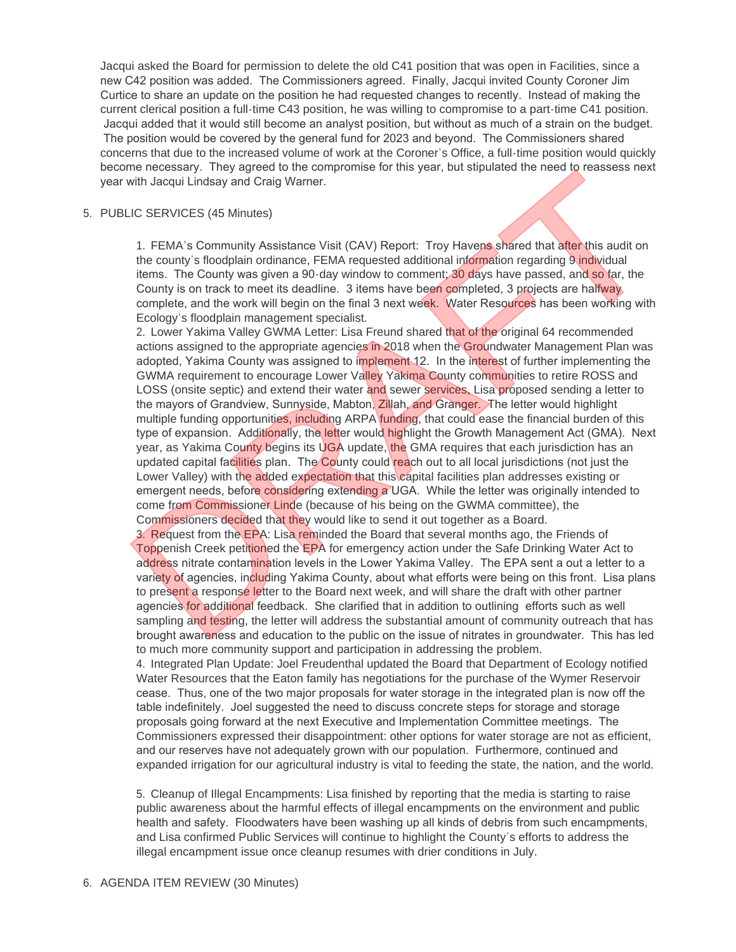Jacqui asked the Board for permission to delete the old C41 position that was open in Facilities, since a new C42 position was added. The Commissioners agreed. Finally, Jacqui invited County Coroner Jim Curtice to share an update on the position he had requested changes to recently. Instead of making the current clerical position a full-time C43 position, he was willing to compromise to a part-time C41 position. Jacqui added that it would still become an analyst position, but without as much of a strain on the budget. The position would be covered by the general fund for 2023 and beyond. The Commissioners shared concerns that due to the increased volume of work at the Coroner's Office, a full-time position would quickly become necessary. They agreed to the compromise for this year, but stipulated the need to reassess next year with Jacqui Lindsay and Craig Warner.

## PUBLIC SERVICES (45 Minutes) 5.

1. FEMA's Community Assistance Visit (CAV) Report: Troy Havens shared that after this audit on the county's floodplain ordinance, FEMA requested additional information regarding 9 individual items. The County was given a 90-day window to comment; 30 days have passed, and so far, the County is on track to meet its deadline. 3 items have been completed, 3 projects are halfway complete, and the work will begin on the final 3 next week. Water Resources has been working with Ecology's floodplain management specialist.

2. Lower Yakima Valley GWMA Letter: Lisa Freund shared that of the original 64 recommended actions assigned to the appropriate agencies in 2018 when the Groundwater Management Plan was adopted, Yakima County was assigned to implement 12. In the interest of further implementing the GWMA requirement to encourage Lower Valley Yakima County communities to retire ROSS and LOSS (onsite septic) and extend their water and sewer services, Lisa proposed sending a letter to the mayors of Grandview, Sunnyside, Mabton, Zillah, and Granger. The letter would highlight multiple funding opportunities, including ARPA funding, that could ease the financial burden of this type of expansion. Additionally, the letter would highlight the Growth Management Act (GMA). Next year, as Yakima County begins its UGA update, the GMA requires that each jurisdiction has an updated capital facilities plan. The County could reach out to all local jurisdictions (not just the Lower Valley) with the added expectation that this capital facilities plan addresses existing or emergent needs, before considering extending a UGA. While the letter was originally intended to come from Commissioner Linde (because of his being on the GWMA committee), the Commissioners decided that they would like to send it out together as a Board. me necessary. They agreed to the compromise for this year, but stipulated the need to reassess next<br>
unit) adequil Lindsay and Craig Warner.<br>
LC SERVICES (45 Minutes)<br>
1. FEMA's Community Assistance Visit (CAV) Report: Tro

3. Request from the EPA: Lisa reminded the Board that several months ago, the Friends of Toppenish Creek petitioned the EPA for emergency action under the Safe Drinking Water Act to address nitrate contamination levels in the Lower Yakima Valley. The EPA sent a out a letter to a variety of agencies, including Yakima County, about what efforts were being on this front. Lisa plans to present a response letter to the Board next week, and will share the draft with other partner agencies for additional feedback. She clarified that in addition to outlining efforts such as well sampling and testing, the letter will address the substantial amount of community outreach that has brought awareness and education to the public on the issue of nitrates in groundwater. This has led to much more community support and participation in addressing the problem.

4. Integrated Plan Update: Joel Freudenthal updated the Board that Department of Ecology notified Water Resources that the Eaton family has negotiations for the purchase of the Wymer Reservoir cease. Thus, one of the two major proposals for water storage in the integrated plan is now off the table indefinitely. Joel suggested the need to discuss concrete steps for storage and storage proposals going forward at the next Executive and Implementation Committee meetings. The Commissioners expressed their disappointment: other options for water storage are not as efficient, and our reserves have not adequately grown with our population. Furthermore, continued and expanded irrigation for our agricultural industry is vital to feeding the state, the nation, and the world.

5. Cleanup of Illegal Encampments: Lisa finished by reporting that the media is starting to raise public awareness about the harmful effects of illegal encampments on the environment and public health and safety. Floodwaters have been washing up all kinds of debris from such encampments, and Lisa confirmed Public Services will continue to highlight the County's efforts to address the illegal encampment issue once cleanup resumes with drier conditions in July.